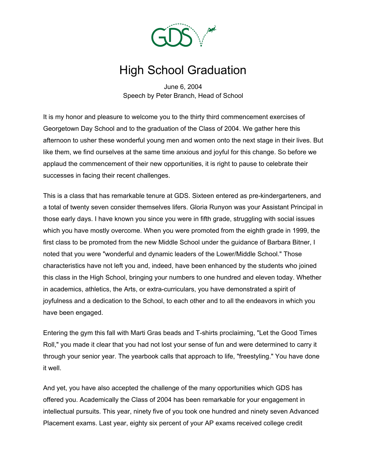

## High School Graduation

June 6, 2004 Speech by Peter Branch, Head of School

It is my honor and pleasure to welcome you to the thirty third commencement exercises of Georgetown Day School and to the graduation of the Class of 2004. We gather here this afternoon to usher these wonderful young men and women onto the next stage in their lives. But like them, we find ourselves at the same time anxious and joyful for this change. So before we applaud the commencement of their new opportunities, it is right to pause to celebrate their successes in facing their recent challenges.

This is a class that has remarkable tenure at GDS. Sixteen entered as pre-kindergarteners, and a total of twenty seven consider themselves lifers. Gloria Runyon was your Assistant Principal in those early days. I have known you since you were in fifth grade, struggling with social issues which you have mostly overcome. When you were promoted from the eighth grade in 1999, the first class to be promoted from the new Middle School under the guidance of Barbara Bitner, I noted that you were "wonderful and dynamic leaders of the Lower/Middle School." Those characteristics have not left you and, indeed, have been enhanced by the students who joined this class in the High School, bringing your numbers to one hundred and eleven today. Whether in academics, athletics, the Arts, or extra-curriculars, you have demonstrated a spirit of joyfulness and a dedication to the School, to each other and to all the endeavors in which you have been engaged.

Entering the gym this fall with Marti Gras beads and T-shirts proclaiming, "Let the Good Times Roll," you made it clear that you had not lost your sense of fun and were determined to carry it through your senior year. The yearbook calls that approach to life, "freestyling." You have done it well.

And yet, you have also accepted the challenge of the many opportunities which GDS has offered you. Academically the Class of 2004 has been remarkable for your engagement in intellectual pursuits. This year, ninety five of you took one hundred and ninety seven Advanced Placement exams. Last year, eighty six percent of your AP exams received college credit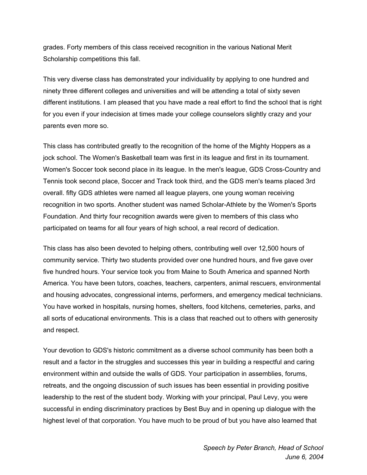grades. Forty members of this class received recognition in the various National Merit Scholarship competitions this fall.

This very diverse class has demonstrated your individuality by applying to one hundred and ninety three different colleges and universities and will be attending a total of sixty seven different institutions. I am pleased that you have made a real effort to find the school that is right for you even if your indecision at times made your college counselors slightly crazy and your parents even more so.

This class has contributed greatly to the recognition of the home of the Mighty Hoppers as a jock school. The Women's Basketball team was first in its league and first in its tournament. Women's Soccer took second place in its league. In the men's league, GDS Cross-Country and Tennis took second place, Soccer and Track took third, and the GDS men's teams placed 3rd overall. fifty GDS athletes were named all league players, one young woman receiving recognition in two sports. Another student was named Scholar-Athlete by the Women's Sports Foundation. And thirty four recognition awards were given to members of this class who participated on teams for all four years of high school, a real record of dedication.

This class has also been devoted to helping others, contributing well over 12,500 hours of community service. Thirty two students provided over one hundred hours, and five gave over five hundred hours. Your service took you from Maine to South America and spanned North America. You have been tutors, coaches, teachers, carpenters, animal rescuers, environmental and housing advocates, congressional interns, performers, and emergency medical technicians. You have worked in hospitals, nursing homes, shelters, food kitchens, cemeteries, parks, and all sorts of educational environments. This is a class that reached out to others with generosity and respect.

Your devotion to GDS's historic commitment as a diverse school community has been both a result and a factor in the struggles and successes this year in building a respectful and caring environment within and outside the walls of GDS. Your participation in assemblies, forums, retreats, and the ongoing discussion of such issues has been essential in providing positive leadership to the rest of the student body. Working with your principal, Paul Levy, you were successful in ending discriminatory practices by Best Buy and in opening up dialogue with the highest level of that corporation. You have much to be proud of but you have also learned that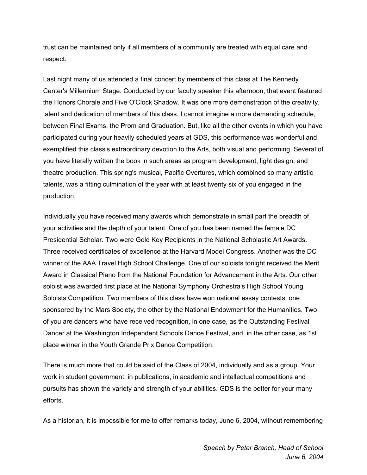trust can be maintained only if all members of a community are treated with equal care and respect.

Last night many of us attended a final concert by members of this class at The Kennedy Center's Millennium Stage. Conducted by our faculty speaker this afternoon, that event featured the Honors Chorale and Five O'Clock Shadow. It was one more demonstration of the creativity, talent and dedication of members of this class. I cannot imagine a more demanding schedule, between Final Exams, the Prom and Graduation. But, like all the other events in which you have participated during your heavily scheduled years at GDS, this performance was wonderful and exemplified this class's extraordinary devotion to the Arts, both visual and performing. Several of you have literally written the book in such areas as program development, light design, and theatre production. This spring's musical, Pacific Overtures, which combined so many artistic talents, was a fitting culmination of the year with at least twenty six of you engaged in the production.

Individually you have received many awards which demonstrate in small part the breadth of your activities and the depth of your talent. One of you has been named the female DC Presidential Scholar. Two were Gold Key Recipients in the National Scholastic Art Awards. Three received certificates of excellence at the Harvard Model Congress. Another was the DC winner of the AAA Travel High School Challenge. One of our soloists tonight received the Merit Award in Classical Piano from the National Foundation for Advancement in the Arts. Our other soloist was awarded first place at the National Symphony Orchestra's High School Young Soloists Competition. Two members of this class have won national essay contests, one sponsored by the Mars Society, the other by the National Endowment for the Humanities. Two of you are dancers who have received recognition, in one case, as the Outstanding Festival Dancer at the Washington Independent Schools Dance Festival, and, in the other case, as 1st place winner in the Youth Grande Prix Dance Competition.

There is much more that could be said of the Class of 2004, individually and as a group. Your work in student government, in publications, in academic and intellectual competitions and pursuits has shown the variety and strength of your abilities. GDS is the better for your many efforts.

As a historian, it is impossible for me to offer remarks today, June 6, 2004, without remembering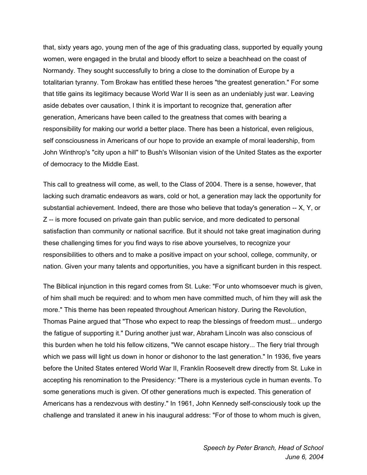that, sixty years ago, young men of the age of this graduating class, supported by equally young women, were engaged in the brutal and bloody effort to seize a beachhead on the coast of Normandy. They sought successfully to bring a close to the domination of Europe by a totalitarian tyranny. Tom Brokaw has entitled these heroes "the greatest generation." For some that title gains its legitimacy because World War II is seen as an undeniably just war. Leaving aside debates over causation, I think it is important to recognize that, generation after generation, Americans have been called to the greatness that comes with bearing a responsibility for making our world a better place. There has been a historical, even religious, self consciousness in Americans of our hope to provide an example of moral leadership, from John Winthrop's "city upon a hill" to Bush's Wilsonian vision of the United States as the exporter of democracy to the Middle East.

This call to greatness will come, as well, to the Class of 2004. There is a sense, however, that lacking such dramatic endeavors as wars, cold or hot, a generation may lack the opportunity for substantial achievement. Indeed, there are those who believe that today's generation -- X, Y, or Z -- is more focused on private gain than public service, and more dedicated to personal satisfaction than community or national sacrifice. But it should not take great imagination during these challenging times for you find ways to rise above yourselves, to recognize your responsibilities to others and to make a positive impact on your school, college, community, or nation. Given your many talents and opportunities, you have a significant burden in this respect.

The Biblical injunction in this regard comes from St. Luke: "For unto whomsoever much is given, of him shall much be required: and to whom men have committed much, of him they will ask the more." This theme has been repeated throughout American history. During the Revolution, Thomas Paine argued that "Those who expect to reap the blessings of freedom must... undergo the fatigue of supporting it." During another just war, Abraham Lincoln was also conscious of this burden when he told his fellow citizens, "We cannot escape history... The fiery trial through which we pass will light us down in honor or dishonor to the last generation." In 1936, five years before the United States entered World War II, Franklin Roosevelt drew directly from St. Luke in accepting his renomination to the Presidency: "There is a mysterious cycle in human events. To some generations much is given. Of other generations much is expected. This generation of Americans has a rendezvous with destiny." In 1961, John Kennedy self-consciously took up the challenge and translated it anew in his inaugural address: "For of those to whom much is given,